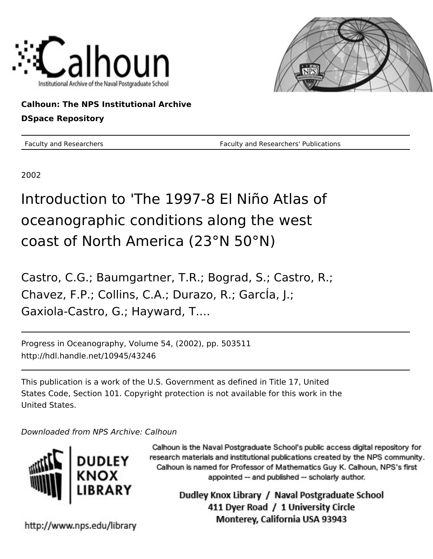



**Calhoun: The NPS Institutional Archive DSpace Repository**

Faculty and Researchers Faculty and Researchers' Publications

2002

# Introduction to 'The 1997-8 El Niño Atlas of oceanographic conditions along the west coast of North America (23°N 50°N)

Castro, C.G.; Baumgartner, T.R.; Bograd, S.; Castro, R.; Chavez, F.P.; Collins, C.A.; Durazo, R.; GarcÍa, J.; Gaxiola-Castro, G.; Hayward, T....

Progress in Oceanography, Volume 54, (2002), pp. 503511 http://hdl.handle.net/10945/43246

This publication is a work of the U.S. Government as defined in Title 17, United States Code, Section 101. Copyright protection is not available for this work in the United States.

Downloaded from NPS Archive: Calhoun



Calhoun is the Naval Postgraduate School's public access digital repository for research materials and institutional publications created by the NPS community. Calhoun is named for Professor of Mathematics Guy K. Calhoun, NPS's first appointed -- and published -- scholarly author.

> Dudley Knox Library / Naval Postgraduate School 411 Dyer Road / 1 University Circle Monterey, California USA 93943

http://www.nps.edu/library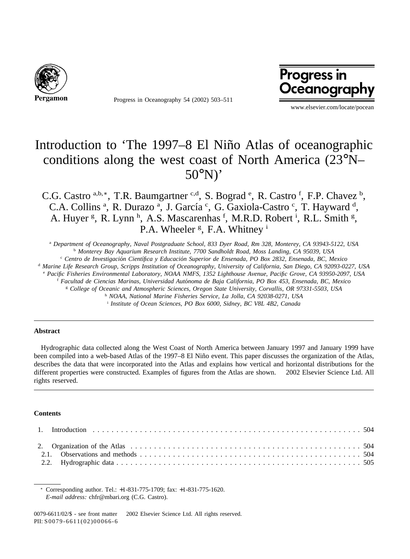

Progress in Oceanography 54 (2002) 503–511

# **Progress in** Oceanography

www.elsevier.com/locate/pocean

# Introduction to 'The 1997–8 El Niño Atlas of oceanographic conditions along the west coast of North America (23°N– 50°N)'

C.G. Castro a,b,\*, T.R. Baumgartner c,d, S. Bograd <sup>e</sup>, R. Castro f, F.P. Chavez <sup>b</sup>, C.A. Collins<sup>a</sup>, R. Durazo<sup>a</sup>, J. García<sup>c</sup>, G. Gaxiola-Castro<sup>c</sup>, T. Hayward<sup>d</sup>, A. Huyer <sup>g</sup>, R. Lynn <sup>h</sup>, A.S. Mascarenhas <sup>f</sup>, M.R.D. Robert <sup>i</sup>, R.L. Smith <sup>g</sup>, P.A. Wheeler<sup>g</sup>, F.A. Whitney<sup>i</sup>

<sup>a</sup> *Department of Oceanography, Naval Postgraduate School, 833 Dyer Road, Rm 328, Monterey, CA 93943-5122, USA* <sup>b</sup> *Monterey Bay Aquarium Research Institute, 7700 Sandholdt Road, Moss Landing, CA 95039, USA*

<sup>c</sup> *Centro de Investigacio´n Cientı´fica y Educacio´n Superior de Ensenada, PO Box 2832, Ensenada, BC, Mexico*

<sup>d</sup> *Marine Life Research Group, Scripps Institution of Oceanography, University of California, San Diego, CA 92093-0227, USA*

<sup>e</sup> *Pacific Fisheries Environmental Laboratory, NOAA NMFS, 1352 Lighthouse Avenue, Pacific Grove, CA 93950-2097, USA*

<sup>f</sup> *Facultad de Ciencias Marinas, Universidad Auto´noma de Baja California, PO Box 453, Ensenada, BC, Mexico*

<sup>g</sup> *College of Oceanic and Atmospheric Sciences, Oregon State University, Corvallis, OR 97331-5503, USA*

<sup>h</sup> *NOAA, National Marine Fisheries Service, La Jolla, CA 92038-0271, USA*

<sup>i</sup> *Institute of Ocean Sciences, PO Box 6000, Sidney, BC V8L 4B2, Canada*

#### **Abstract**

Hydrographic data collected along the West Coast of North America between January 1997 and January 1999 have been compiled into a web-based Atlas of the 1997–8 El Niño event. This paper discusses the organization of the Atlas, describes the data that were incorporated into the Atlas and explains how vertical and horizontal distributions for the different properties were constructed. Examples of figures from the Atlas are shown. © 2002 Elsevier Science Ltd. All rights reserved.

#### **Contents**

<sup>∗</sup> Corresponding author. Tel.: +1-831-775-1709; fax: +1-831-775-1620. *E-mail address:* chfr@mbari.org (C.G. Castro).

0079-6611/02/\$ - see front matter 2002 Elsevier Science Ltd. All rights reserved. PII: S0079-6611(02)00066-6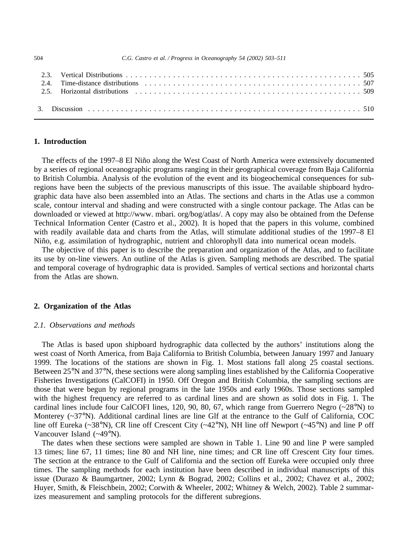| 2.5. Horizontal distributions experiences in the server in the server in the server in the server in the server in the server in the server in the server in the server in the server in the server in the server in the serve |  |
|--------------------------------------------------------------------------------------------------------------------------------------------------------------------------------------------------------------------------------|--|
|                                                                                                                                                                                                                                |  |

# **1. Introduction**

The effects of the 1997–8 El Niño along the West Coast of North America were extensively documented by a series of regional oceanographic programs ranging in their geographical coverage from Baja California to British Columbia. Analysis of the evolution of the event and its biogeochemical consequences for subregions have been the subjects of the previous manuscripts of this issue. The available shipboard hydrographic data have also been assembled into an Atlas. The sections and charts in the Atlas use a common scale, contour interval and shading and were constructed with a single contour package. The Atlas can be downloaded or viewed at http://www. mbari. org/bog/atlas/. A copy may also be obtained from the Defense Technical Information Center (Castro et al., 2002). It is hoped that the papers in this volume, combined with readily available data and charts from the Atlas, will stimulate additional studies of the 1997–8 El Niño, e.g. assimilation of hydrographic, nutrient and chlorophyll data into numerical ocean models.

The objective of this paper is to describe the preparation and organization of the Atlas, and to facilitate its use by on-line viewers. An outline of the Atlas is given. Sampling methods are described. The spatial and temporal coverage of hydrographic data is provided. Samples of vertical sections and horizontal charts from the Atlas are shown.

# **2. Organization of the Atlas**

### *2.1. Observations and methods*

The Atlas is based upon shipboard hydrographic data collected by the authors' institutions along the west coast of North America, from Baja California to British Columbia, between January 1997 and January 1999. The locations of the stations are shown in Fig. 1. Most stations fall along 25 coastal sections. Between 25°N and 37°N, these sections were along sampling lines established by the California Cooperative Fisheries Investigations (CalCOFI) in 1950. Off Oregon and British Columbia, the sampling sections are those that were begun by regional programs in the late 1950s and early 1960s. Those sections sampled with the highest frequency are referred to as cardinal lines and are shown as solid dots in Fig. 1. The cardinal lines include four CalCOFI lines, 120, 90, 80, 67, which range from Guerrero Negro  $(-28°N)$  to Monterey (~37°N). Additional cardinal lines are line Glf at the entrance to the Gulf of California, COC line off Eureka (~38°N), CR line off Crescent City (~42°N), NH line off Newport (~45°N) and line P off Vancouver Island (~49°N).

The dates when these sections were sampled are shown in Table 1. Line 90 and line P were sampled 13 times; line 67, 11 times; line 80 and NH line, nine times; and CR line off Crescent City four times. The section at the entrance to the Gulf of California and the section off Eureka were occupied only three times. The sampling methods for each institution have been described in individual manuscripts of this issue (Durazo & Baumgartner, 2002; Lynn & Bograd, 2002; Collins et al., 2002; Chavez et al., 2002; Huyer, Smith, & Fleischbein, 2002; Corwith & Wheeler, 2002; Whitney & Welch, 2002). Table 2 summarizes measurement and sampling protocols for the different subregions.

504 *C.G. Castro et al. / Progress in Oceanography 54 (2002) 503–511*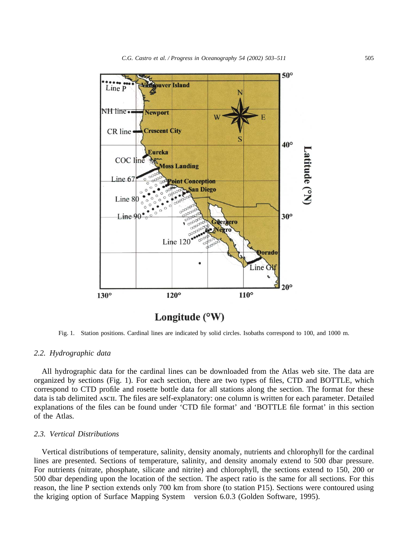

Fig. 1. Station positions. Cardinal lines are indicated by solid circles. Isobaths correspond to 100, and 1000 m.

# *2.2. Hydrographic data*

All hydrographic data for the cardinal lines can be downloaded from the Atlas web site. The data are organized by sections (Fig. 1). For each section, there are two types of files, CTD and BOTTLE, which correspond to CTD profile and rosette bottle data for all stations along the section. The format for these data is tab delimited ASCII. The files are self-explanatory: one column is written for each parameter. Detailed explanations of the files can be found under 'CTD file format' and 'BOTTLE file format' in this section of the Atlas.

### *2.3. Vertical Distributions*

Vertical distributions of temperature, salinity, density anomaly, nutrients and chlorophyll for the cardinal lines are presented. Sections of temperature, salinity, and density anomaly extend to 500 dbar pressure. For nutrients (nitrate, phosphate, silicate and nitrite) and chlorophyll, the sections extend to 150, 200 or 500 dbar depending upon the location of the section. The aspect ratio is the same for all sections. For this reason, the line P section extends only 700 km from shore (to station P15). Sections were contoured using the kriging option of Surface Mapping System® version 6.0.3 (Golden Software, 1995).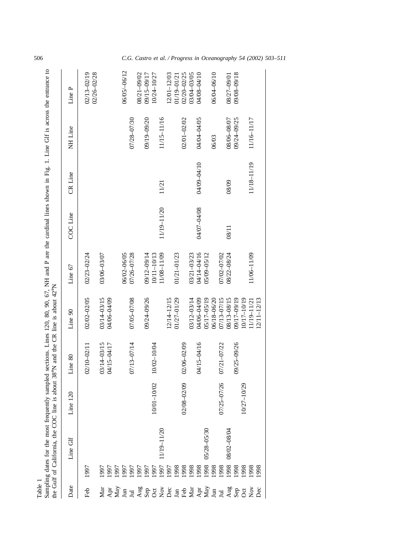| <b>Table</b>                      |              | the Gulf of California, the COC line i<br>Sampling dates for the most frequent |                   | ly sampled sections. Lines 120, 80, 90, 67, NH and P are the cardinal lines shown in Fig. 1. Line GIf is across the entrance to<br>is about 38°N and the CR line is about 42°N |                            |                            |             |             |             |                            |
|-----------------------------------|--------------|--------------------------------------------------------------------------------|-------------------|--------------------------------------------------------------------------------------------------------------------------------------------------------------------------------|----------------------------|----------------------------|-------------|-------------|-------------|----------------------------|
| Date                              |              | Line Glf                                                                       | 120<br>Line       | Line 80                                                                                                                                                                        | Line 90                    | Line $67$                  | COC Line    | CR Line     | NH Line     | Line P                     |
| Feb                               | 1997         |                                                                                |                   | 02/10-02/11                                                                                                                                                                    | 02/02-02/05                | 02/23-02/24                |             |             |             | 02/13-02/19                |
|                                   | 1997<br>1997 |                                                                                |                   | 03/14-03/15<br>04/15-04/17                                                                                                                                                     | 03/14-03/15<br>04/06-04/09 | 03/06-03/07                |             |             |             | 02/26-02/28                |
|                                   | 1997<br>1997 |                                                                                |                   |                                                                                                                                                                                |                            | 06/02-06/05                |             |             |             | 06/05/-06/12               |
|                                   | 1997<br>1997 |                                                                                |                   | 07/13-07/14                                                                                                                                                                    | 07/05-07/08                | 07/26-07/28                |             |             | 07/28-07/30 | 08/21-09/02                |
|                                   | 1997         |                                                                                |                   |                                                                                                                                                                                | 09/24-09/26                | 09/12-09/14                |             |             | 09/19-09/20 | 09/15-09/17                |
|                                   | 1997<br>1997 | 11/19-11/20                                                                    | $-10/02$<br>10/01 | 10/02-10/04                                                                                                                                                                    |                            | 11/08-11/09<br>10/11-10/13 | 11/19-11/20 | 11/21       | 11/15-11/16 | 10/24-10/27                |
|                                   | 1997         |                                                                                |                   |                                                                                                                                                                                | 12/14-12/15                |                            |             |             |             | 12/01-12/03                |
|                                   | 1998         |                                                                                |                   |                                                                                                                                                                                | 01/27-01/29                | $01/21 - 01/23$            |             |             |             | 01/19-01/21                |
|                                   | 8661         |                                                                                | 02/08-02/09       | 02/06-02/09                                                                                                                                                                    | 03/12-03/14                | 03/21-03/23                |             |             | 02/01-02/02 | 02/20-02/25<br>03/04-03/05 |
|                                   | 1998         |                                                                                |                   | 04/15-04/16                                                                                                                                                                    | 04/06-04/09                | 04/14-04/16                | 04/07-04/08 | 04/09-04/10 | 04/04-04/05 | 04/08-04/10                |
|                                   | 1998         | 05/28-05/30                                                                    |                   |                                                                                                                                                                                | 05/17-05/19                | 05/09-05/12                |             |             |             |                            |
|                                   | 8661<br>8661 |                                                                                |                   |                                                                                                                                                                                | 06/18-06/20                |                            |             |             | 06/03       | 06/04-06/10                |
|                                   | 1998         | 08/02-08/04                                                                    | 07/25-07/26       | 07/21-07/22                                                                                                                                                                    | 07/13-07/15<br>08/13-08/15 | 07/02-07/02<br>08/22-08/24 | 08/11       | 08/09       | 08/06-08/07 | 08/27-09/01                |
|                                   | 1998<br>1998 |                                                                                | 10/27-10/29       | 09/25-09/26                                                                                                                                                                    | 09/17-09/19<br>10/17-10/19 |                            |             |             | 09/24-09/25 | 09/08-09/18                |
| A FATE E SA SOLA E FATE E SA SOLA | 1998<br>1998 |                                                                                |                   |                                                                                                                                                                                | 12/11–12/13<br>1/19-11/21  | 11/06-11/09                |             | 11/18-11/19 | 11/16-11/17 |                            |

506 *C.G. Castro et al. / Progress in Oceanography 54 (2002) 503–511*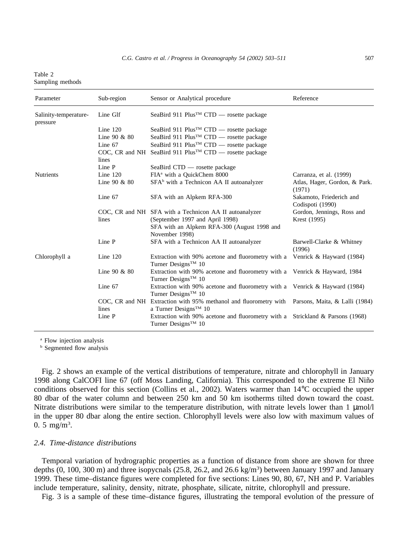| Table 2          |  |
|------------------|--|
| Sampling methods |  |

| Parameter                         | Sub-region     | Sensor or Analytical procedure                                                                                   | Reference                                    |
|-----------------------------------|----------------|------------------------------------------------------------------------------------------------------------------|----------------------------------------------|
| Salinity-temperature-<br>pressure | Line Glf       | SeaBird 911 Plus <sup>TM</sup> CTD — rosette package                                                             |                                              |
|                                   | Line $120$     | SeaBird 911 Plus <sup>TM</sup> CTD — rosette package                                                             |                                              |
|                                   | Line $90 & 80$ | SeaBird 911 Plus <sup>™</sup> CTD — rosette package                                                              |                                              |
|                                   | Line 67        | SeaBird 911 Plus <sup>TM</sup> CTD — rosette package                                                             |                                              |
|                                   | lines          | COC, CR and NH SeaBird 911 Plus™ CTD — rosette package                                                           |                                              |
|                                   | Line P         | SeaBird CTD — rosette package                                                                                    |                                              |
| <b>Nutrients</b>                  | Line $120$     | FIA <sup>a</sup> with a QuickChem 8000                                                                           | Carranza, et al. (1999)                      |
|                                   | Line $90 & 80$ | SFA <sup>b</sup> with a Technicon AA II autoanalyzer                                                             | Atlas, Hager, Gordon, & Park.<br>(1971)      |
|                                   | Line 67        | SFA with an Alpkem RFA-300                                                                                       | Sakamoto, Friederich and<br>Codispoti (1990) |
|                                   |                | COC, CR and NH SFA with a Technicon AA II autoanalyzer                                                           | Gordon, Jennings, Ross and                   |
|                                   | lines          | (September 1997 and April 1998)                                                                                  | Krest (1995)                                 |
|                                   |                | SFA with an Alpkem RFA-300 (August 1998 and<br>November 1998)                                                    |                                              |
|                                   | Line P         | SFA with a Technicon AA II autoanalyzer                                                                          | Barwell-Clarke & Whitney<br>(1996)           |
| Chlorophyll a                     | Line $120$     | Extraction with 90% acetone and fluorometry with a Venrick & Hayward (1984)<br>Turner Designs <sup>TM</sup> 10   |                                              |
|                                   | Line $90 & 80$ | Extraction with 90% acetone and fluorometry with a Venrick & Hayward, 1984<br>Turner Designs <sup>TM</sup> 10    |                                              |
|                                   | Line 67        | Extraction with 90% acetone and fluorometry with a Venrick & Hayward (1984)<br>Turner Designs <sup>TM</sup> 10   |                                              |
|                                   | COC, CR and NH | Extraction with 95% methanol and fluorometry with Parsons, Maita, & Lalli (1984)                                 |                                              |
|                                   | lines          | a Turner Designs <sup>™</sup> 10                                                                                 |                                              |
|                                   | Line P         | Extraction with 90% acetone and fluorometry with a Strickland & Parsons (1968)<br>Turner Designs <sup>™</sup> 10 |                                              |

<sup>a</sup> Flow injection analysis

**b** Segmented flow analysis

Fig. 2 shows an example of the vertical distributions of temperature, nitrate and chlorophyll in January 1998 along CalCOFI line 67 (off Moss Landing, California). This corresponded to the extreme El Nin˜o conditions observed for this section (Collins et al., 2002). Waters warmer than 14°C occupied the upper 80 dbar of the water column and between 250 km and 50 km isotherms tilted down toward the coast. Nitrate distributions were similar to the temperature distribution, with nitrate levels lower than  $1 \mu \text{mol}/l$ in the upper 80 dbar along the entire section. Chlorophyll levels were also low with maximum values of 0. 5 mg/m<sup>3</sup>.

# *2.4. Time-distance distributions*

Temporal variation of hydrographic properties as a function of distance from shore are shown for three depths  $(0, 100, 300 \text{ m})$  and three isopycnals  $(25.8, 26.2, \text{ and } 26.6 \text{ kg/m}^3)$  between January 1997 and January 1999. These time–distance figures were completed for five sections: Lines 90, 80, 67, NH and P. Variables include temperature, salinity, density, nitrate, phosphate, silicate, nitrite, chlorophyll and pressure.

Fig. 3 is a sample of these time–distance figures, illustrating the temporal evolution of the pressure of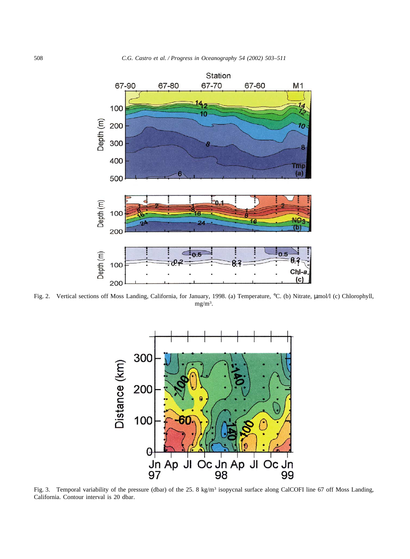

Fig. 2. Vertical sections off Moss Landing, California, for January, 1998. (a) Temperature, °C. (b) Nitrate,  $\mu$ mol/l (c) Chlorophyll,  $mg/m<sup>3</sup>$ .



Fig. 3. Temporal variability of the pressure (dbar) of the 25. 8 kg/m<sup>3</sup> isopycnal surface along CalCOFI line 67 off Moss Landing, California. Contour interval is 20 dbar.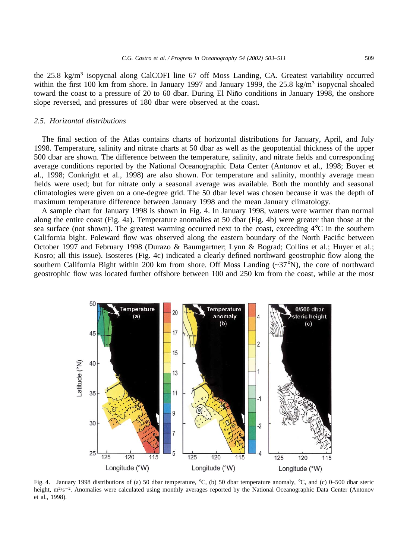the 25.8 kg/m3 isopycnal along CalCOFI line 67 off Moss Landing, CA. Greatest variability occurred within the first 100 km from shore. In January 1997 and January 1999, the 25.8 kg/m<sup>3</sup> isopycnal shoaled toward the coast to a pressure of 20 to 60 dbar. During El Niño conditions in January 1998, the onshore slope reversed, and pressures of 180 dbar were observed at the coast.

#### *2.5. Horizontal distributions*

The final section of the Atlas contains charts of horizontal distributions for January, April, and July 1998. Temperature, salinity and nitrate charts at 50 dbar as well as the geopotential thickness of the upper 500 dbar are shown. The difference between the temperature, salinity, and nitrate fields and corresponding average conditions reported by the National Oceanographic Data Center (Antonov et al., 1998; Boyer et al., 1998; Conkright et al., 1998) are also shown. For temperature and salinity, monthly average mean fields were used; but for nitrate only a seasonal average was available. Both the monthly and seasonal climatologies were given on a one-degree grid. The 50 dbar level was chosen because it was the depth of maximum temperature difference between January 1998 and the mean January climatology.

A sample chart for January 1998 is shown in Fig. 4. In January 1998, waters were warmer than normal along the entire coast (Fig. 4a). Temperature anomalies at 50 dbar (Fig. 4b) were greater than those at the sea surface (not shown). The greatest warming occurred next to the coast, exceeding 4°C in the southern California bight. Poleward flow was observed along the eastern boundary of the North Pacific between October 1997 and February 1998 (Durazo & Baumgartner; Lynn & Bograd; Collins et al.; Huyer et al.; Kosro; all this issue). Isosteres (Fig. 4c) indicated a clearly defined northward geostrophic flow along the southern California Bight within 200 km from shore. Off Moss Landing (~37°N), the core of northward geostrophic flow was located further offshore between 100 and 250 km from the coast, while at the most



Fig. 4. January 1998 distributions of (a) 50 dbar temperature, °C, (b) 50 dbar temperature anomaly, °C, and (c) 0–500 dbar steric height, m<sup>2</sup>/s<sup>-2</sup>. Anomalies were calculated using monthly averages reported by the National Oceanographic Data Center (Antonov et al., 1998).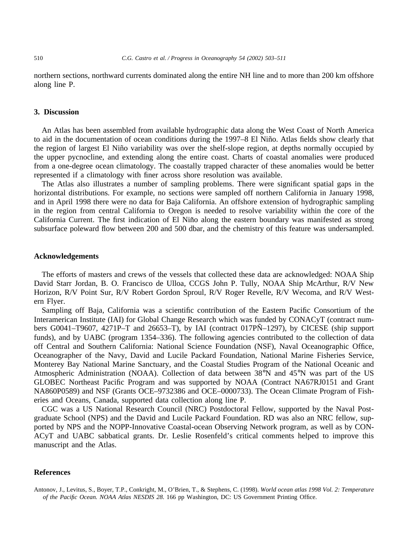northern sections, northward currents dominated along the entire NH line and to more than 200 km offshore along line P.

### **3. Discussion**

An Atlas has been assembled from available hydrographic data along the West Coast of North America to aid in the documentation of ocean conditions during the 1997–8 El Niño. Atlas fields show clearly that the region of largest El Niño variability was over the shelf-slope region, at depths normally occupied by the upper pycnocline, and extending along the entire coast. Charts of coastal anomalies were produced from a one-degree ocean climatology. The coastally trapped character of these anomalies would be better represented if a climatology with finer across shore resolution was available.

The Atlas also illustrates a number of sampling problems. There were significant spatial gaps in the horizontal distributions. For example, no sections were sampled off northern California in January 1998, and in April 1998 there were no data for Baja California. An offshore extension of hydrographic sampling in the region from central California to Oregon is needed to resolve variability within the core of the California Current. The first indication of El Niño along the eastern boundary was manifested as strong subsurface poleward flow between 200 and 500 dbar, and the chemistry of this feature was undersampled.

#### **Acknowledgements**

The efforts of masters and crews of the vessels that collected these data are acknowledged: NOAA Ship David Starr Jordan, B. O. Francisco de Ulloa, CCGS John P. Tully, NOAA Ship McArthur, R/V New Horizon, R/V Point Sur, R/V Robert Gordon Sproul, R/V Roger Revelle, R/V Wecoma, and R/V Western Flyer.

Sampling off Baja, California was a scientific contribution of the Eastern Pacific Consortium of the Interamerican Institute (IAI) for Global Change Research which was funded by CONACyT (contract numbers G0041–T9607, 4271P–T and 26653–T), by IAI (contract 017PÑ–1297), by CICESE (ship support funds), and by UABC (program 1354–336). The following agencies contributed to the collection of data off Central and Southern California: National Science Foundation (NSF), Naval Oceanographic Office, Oceanographer of the Navy, David and Lucile Packard Foundation, National Marine Fisheries Service, Monterey Bay National Marine Sanctuary, and the Coastal Studies Program of the National Oceanic and Atmospheric Administration (NOAA). Collection of data between 38°N and 45°N was part of the US GLOBEC Northeast Pacific Program and was supported by NOAA (Contract NA67RJ0151 and Grant NA860P0589) and NSF (Grants OCE–9732386 and OCE–0000733). The Ocean Climate Program of Fisheries and Oceans, Canada, supported data collection along line P.

CGC was a US National Research Council (NRC) Postdoctoral Fellow, supported by the Naval Postgraduate School (NPS) and the David and Lucile Packard Foundation. RD was also an NRC fellow, supported by NPS and the NOPP-Innovative Coastal-ocean Observing Network program, as well as by CON-ACyT and UABC sabbatical grants. Dr. Leslie Rosenfeld's critical comments helped to improve this manuscript and the Atlas.

# **References**

Antonov, J., Levitus, S., Boyer, T.P., Conkright, M., O'Brien, T., & Stephens, C. (1998). *World ocean atlas 1998 Vol. 2: Temperature of the Pacific Ocean. NOAA Atlas NESDIS 28*. 166 pp Washington, DC: US Government Printing Office.